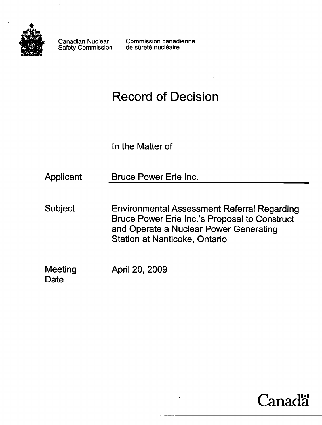

Safety Commission

Canadian Nuclear Commission canadienne<br>Safety Commission de sûreté nucléaire

# Record of Decision

In the Matter of

Applicant Bruce Power Erie Inc.

Subject Environmental Assessment Referral Regarding Bruce Power Erie Inc.'s Proposal to Construct and Operate a Nuclear Power Generating Station at Nanticoke, Ontario

Meeting **Date** 

April 20, 2009

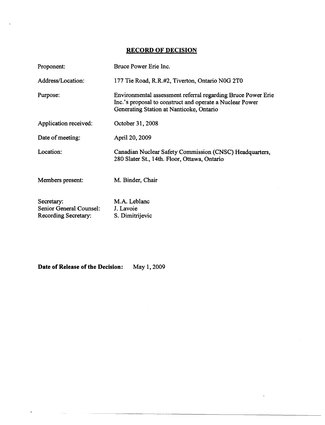### **RECORD OF DECISION**

| Proponent:                                                           | Bruce Power Erie Inc.                                                                                                                                                |
|----------------------------------------------------------------------|----------------------------------------------------------------------------------------------------------------------------------------------------------------------|
| Address/Location:                                                    | 177 Tie Road, R.R.#2, Tiverton, Ontario N0G 2T0                                                                                                                      |
| Purpose:                                                             | Environmental assessment referral regarding Bruce Power Erie<br>Inc.'s proposal to construct and operate a Nuclear Power<br>Generating Station at Nanticoke, Ontario |
| Application received:                                                | October 31, 2008                                                                                                                                                     |
| Date of meeting:                                                     | April 20, 2009                                                                                                                                                       |
| Location:                                                            | Canadian Nuclear Safety Commission (CNSC) Headquarters,<br>280 Slater St., 14th. Floor, Ottawa, Ontario                                                              |
| Members present:                                                     | M. Binder, Chair                                                                                                                                                     |
| Secretary:<br><b>Senior General Counsel:</b><br>Recording Secretary: | M.A. Leblanc<br>J. Lavoie<br>S. Dimitrijevic                                                                                                                         |

**Date of Release of the Decision:** May 1, 2009

and the company

 $\bar{\mathbf{r}}$ 

 $\bar{\epsilon}$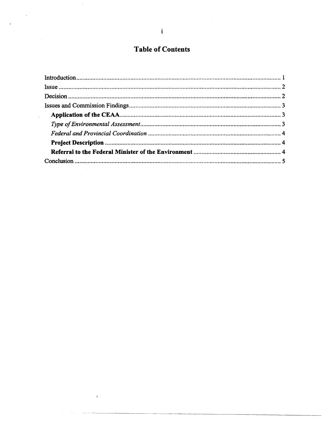## **Table of Contents**

 $\bar{\phantom{a}}$ 

 $\bar{\mathbf{y}}$ 

 $\mathbb{Z}_2$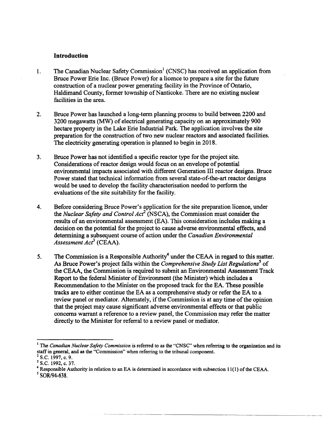#### **Introduction**

- 1. The Canadian Nuclear Safety Commission<sup>1</sup> (CNSC) has received an application from Bruce Power Erie Inc. (Bruce Power) for a licence to prepare a site for the future construction of a nuclear power generating facility in the Province of Ontario, Haldimand County, former township of Nanticoke. There are no existing nuclear facilities in the area.
- 2. Bruce Power has launched a long-term planning process to build between 2200 and 3200 megawatts (MW) of electrical generating capacity on an approximately 900 hectare property in the Lake Erie Industrial Park. The application involves the site preparation for the construction of two new nuclear reactors and associated facilities. The electricity generating operation is planned to begin in 2018.
- 3. Bruce Power has not identified a specific reactor type for the project site. Considerations of reactor design would focus on an envelope of potential environmental impacts associated with different Generation **III** reactor designs. Bruce Power stated that technical information from several state-of-the-art reactor designs would be used to develop the facility characterisation needed to perform the evaluations of the site suitability for the facility.
- 4. Before considering Bruce Power's application for the site preparation licence, under the *Nuclear Safety and Control Acr* (NSCA), the Commission must consider the results of an environmental assessment (EA). This consideration includes making a decision on the potential for the project to cause adverse environmental effects, and determining a subsequent course of action under the *Canadian Environmental Assessment Act3* (CEAA).
- 5. The Commission is a Responsible Authority<sup>4</sup> under the CEAA in regard to this matter. *s* As Bruce Power's project falls within the *Comprehensive Study List Regulations* of the CEAA, the Commission is required to submit an Environmental Assessment Track Report to the federal Minister of Environment (the Minister) which includes a Recommendation to the Minister on the proposed track for the EA. These possible tracks are to either continue the EA as a comprehensive study or refer the EA to a review panel or mediator. Alternately, if the Commission is at any time of the opinion that the project may cause significant adverse environmental effects or that public concerns warrant a reference to a review panel, the Commission may refer the matter directly to the Minister for referral to a review panel or mediator.

<sup>&</sup>lt;sup>1</sup> The *Canadian Nuclear Safety Commission* is referred to as the "CNSC" when referring to the organization and its staff in general, and as the "Commission" when referring to the tribunal component.

 $^{2}$  S.C. 1997, c. 9.

<sup>&</sup>lt;sup>3</sup> S.C. 1992, c. 37.

<sup>4</sup> Responsible Authority in relation to an EA is determined in accordance with subsection 11(1) of the CEAA.

*s SORl94-638.*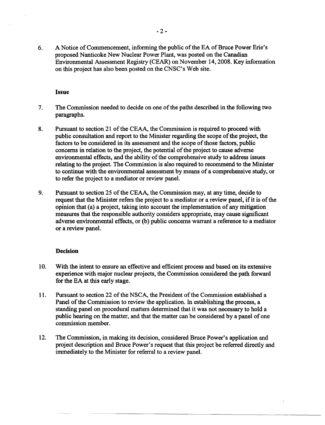6. A Notice of Commencement, informing the public of the EA of Bruce Power Erie's proposed Nanticoke New Nuclear Power Plant, was posted on the Canadian Environmental Assessment Registry (CEAR) on November 14,2008. Key information on this project has also been posted on the CNSC's Web site.

#### **Issue**

- 7. The Commission needed to decide on one of the paths described in the following two paragraphs.
- 8. Pursuant to section 21 of the CEAA, the Commission is required to proceed with public consultation and report to the Minister regarding the scope of the project, the factors to be considered in its assessment and the scope of those factors, public concerns in relation to the project, the potential of the project to cause adverse environmental effects, and the ability of the comprehensive study to address issues relating to the project. The Commission is also required to recommend to the Minister to continue with the environmental assessment by means of a comprehensive study, or to refer the project to a mediator or review panel.
- 9. Pursuant to section 25 of the CEAA, the Commission may, at any time, decide to request that the Minister refers the project to a mediator or a review panel, if it is of the opinion that (a) a project, taking into account the implementation of any mitigation measures that the responsible authority considers appropriate, may cause significant adverse environmental effects, or (b) public concerns warrant a reference to a mediator or a review panel.

#### **Decision**

- 10. With the intent to ensure an effective and efficient process and based on its extensive experience with major nuclear projects, the Commission considered the path forward for the EA at this early stage.
- 11. Pursuant to section 22 of the NSCA, the President of the Commission established a Panel of the Commission to review the application. In establishing the process, a standing panel on procedural matters determined that it was not necessary to hold a public hearing on the matter, and that the matter can be considered by a panel of one commission member.
- 12. The Commission, in making its decision, considered Bruce Power's application and project description and Bruce Power's request that this project be referred directly and immediately to the Minister for referral to a review panel.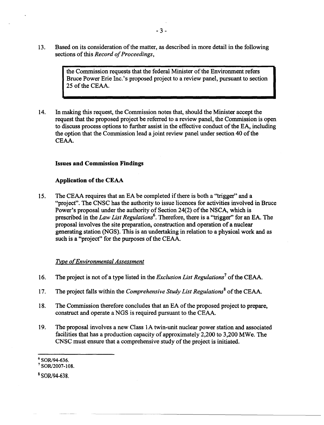13. Based on its consideration of the matter, as described in more detail in the following sections of this *Record of Proceedings,* 

> the Commission requests that the federal Minister of the Environment refers Bruce Power Erie Inc.'s proposed project to a review panel, pursuant to section 25 of the CEAA.

14. In making this request, the Commission notes that, should the Minister accept the request that the proposed project be referred to a review panel, the Commission is open to discuss process options to further assist in the effective conduct of the EA, including the option that the Commission lead a joint review panel under section 40 of the CEAA.

#### Issues and Commission Findings

#### Application of the CEAA

15. The CEAA requires that an EA be completed if there is both a ''trigger'' and a "project". The CNSC has the authority to issue licences for activities involved in Bruce Power's proposal under the authority of Section 24(2) of the NSCA, which is prescribed in the *Law List Regulations*<sup>6</sup>. Therefore, there is a "trigger" for an EA. The proposal involves the site preparation, construction and operation of a nuclear generating station (NGS). This is an undertaking in relation to a physical work and as such is a "project" for the purposes of the CEAA.

#### *Type of Environmental Assessment*

- 16. The project is not of a type listed in the *Exclusion List Regulations* 7 of the CEAA.
- 17. The project falls within the *Comprehensive Study List Regulations<sup>8</sup>*of the CEAA.
- 18. The Commission therefore concludes that an EA of the proposed project to prepare, construct and operate a NGS is required pursuant to the CEAA.
- 19. The proposal involves a new Class lA twin-unit nuclear power station and associated facilities that has a production capacity of approximately 2,200 to 3,200 MWe. The CNSC must ensure that a comprehensive study of the project is initiated.

8 SOR/94-638.

<sup>6</sup>*SORl94-636.* 

 $7$  SOR/2007-108.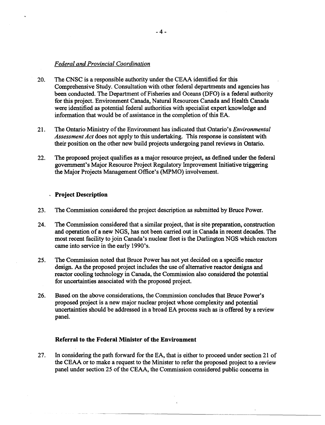#### *Federal and Provincial Coordination*

- 20. The CNSC is a responsible authority under the CEAA identified for this Comprehensive Study. Consultation with other federal departments and agencies has been conducted. The Department of Fisheries and Oceans (DFO) is a federal authority for this project. Environment Canada, Natural Resources Canada and Health Canada were identified as potential federal authorities with specialist expert knowledge and information that would be of assistance in the completion of this EA.
- 21. The Ontario Ministry of the Environment has indicated that Ontario's *Environmental Assessment Act* does not apply to this undertaking. This response is consistent with their position on the other new build projects undergoing panel reviews in Ontario.
- 22. The proposed project qualifies as a major resource project, as defined under the federal government's Major Resource Project Regulatory Improvement Initiative triggering the Major Projects Management Office's (MPMO) involvement.

#### **Project Description**

- 23. The Commission considered the project description as submitted by Bruce Power.
- 24. The Commission considered that a similar project, that is site preparation, construction and operation of a new NOS, has not been carried out in Canada in recent decades. The most recent facility to join Canada's nuclear fleet is the Darlington NOS which reactors came into service in the early 1990's.
- 25. The Commission noted that Bruce Power has not yet decided on a specific reactor design. As the proposed project includes the use of alternative reactor designs and reactor cooling technology in Canada, the Commission also considered the potential for uncertainties associated with the proposed project.
- 26. Based on the above considerations, the Commission concludes that Bruce Power's proposed project is a new major nuclear project whose complexity and potential uncertainties should be addressed in a broad EA process such as is offered by a review panel.

#### **Referral to the Federal Minister of the Environment**

27. In considering the path forward for the EA, that is either to proceed under section 21 of the CEAA or to make a request to the Minister to refer the proposed project to a review panel under section 25 of the CEAA, the Commission considered public concerns in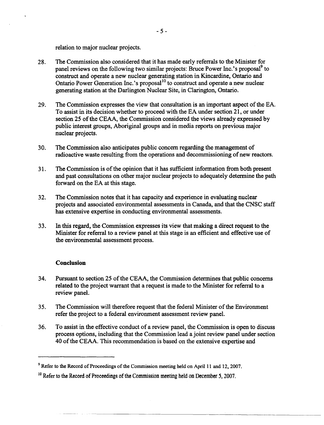relation to major nuclear projects.

- 28. The Commission also considered that it has made early referrals to the Minister for panel reviews on the following two similar projects: Bruce Power Inc.'s proposal<sup>9</sup> to construct and operate a new nuclear generating station in Kincardine, Ontario and Ontario Power Generation Inc.'s proposal $10$  to construct and operate a new nuclear generating station at the Darlington Nuclear Site, in Clarington, Ontario.
- 29. The Commission expresses the view that consultation is an important aspect of the EA. To assist in its decision whether to proceed with the EA under section 21, or under section 25 of the CEAA, the Commission considered the views already expressed by public interest groups, Aboriginal groups and in media reports on previous major nuclear projects.
- 30. The Commission also anticipates public concern regarding the management of radioactive waste resulting from the operations and decommissioning of new reactors.
- 31. The Commission is of the opinion that it has sufficient information from both present and past consultations on other major nuclear projects to adequately determine the path forward on the EA at this stage.
- 32. The Commission notes that it has capacity and experience in evaluating nuclear projects and associated environmental assessments in Canada, and that the CNSC staff has extensive expertise in conducting environmental assessments.
- 33. In this regard, the Commission expresses its view that making a direct request to the Minister for referral to a review panel at this stage is an efficient and effective use of the environmental assessment process.

#### **Conclusion**

- 34. Pursuant to section 25 of the CEAA, the Commission determines that public concerns related to the project warrant that a request is made to the Minister for referral to a review panel.
- 35. The Commission will therefore request that the federal Minister of the Environment refer the project to a federal environment assessment review panel.
- 36. To assist in the effective conduct of a review panel, the Commission is open to discuss process options, including that the Commission lead a joint review panel under section 40 of the CEAA. This recommendation is based on the extensive expertise and

<sup>&</sup>lt;sup>9</sup> Refer to the Record of Proceedings of the Commission meeting held on April 11 and 12, 2007.

<sup>&</sup>lt;sup>10</sup> Refer to the Record of Proceedings of the Commission meeting held on December 5, 2007.